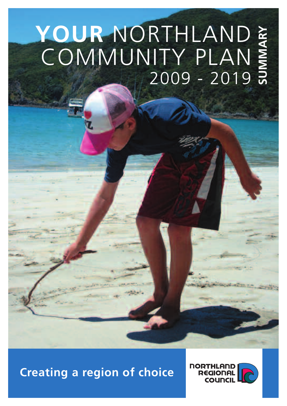# **YOUR** NORTHLAND COMMUNITY PLAN 2009 - 2019 **SUMMARY**

# **Creating a region of choice**

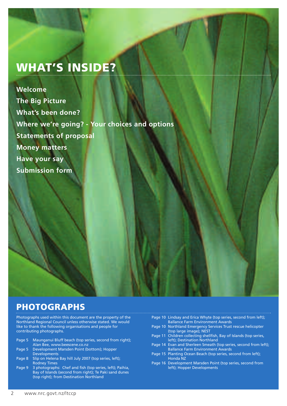# **WHAT'S INSIDE?**

**Welcome The Big Picture What's been done? Where we're going? - Your choices and options Statements of proposal Money matters Have your say Submission form**

### **PHOTOGRAPHS**

Photographs used within this document are the property of the Northland Regional Council unless otherwise stated. We would like to thank the following organisations and people for contributing photographs.

- Page 5 Maunganui Bluff beach (top series, second from right); Alan Bee, www.beescene.co.nz
- Page 5 Development Marsden Point (bottom); Hopper Developments
- Page 8 Slip on Helena Bay hill July 2007 (top series, left); Rodney Times
- Page 9 3 photographs: Chef and fish (top series, left); Paihia, Bay of Islands (second from right); Te Paki sand dunes (top right); from Destination Northland
- Page 10 Lindsay and Erica Whyte (top series, second from left); Ballance Farm Environment Awards
- Page 10 Northland Emergency Services Trust rescue helicopter (top large image); NEST
- Page 11 Children collecting shellfish, Bay of Islands (top series, left); Destination Northland
- Page 14 Evan and Sherleen Smeath (top series, second from left); Ballance Farm Environment Awards
- Page 15 Planting Ocean Beach (top series, second from left); Honda NZ
- Page 16 Development Marsden Point (top series, second from left); Hopper Developments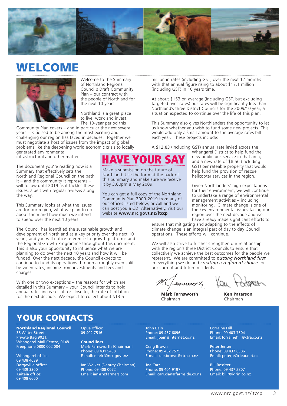

## **WELCOME**



Welcome to the Summary of Northland Regional Council's Draft Community Plan – our contract with the people of Northland for the next 10 years.

Northland is a great place to live, work and invest. The 10-year period this

Community Plan covers – and in particular the next several years – is poised to be among the most exciting and challenging our region has faced in decades. Together we must negotiate a host of issues from the impact of global problems like the deepening world economic crisis to locally generated environmental,

infrastructural and other matters.

The document you're reading now is a Summary that effectively sets the Northland Regional Council on the path it – and the community it represents – will follow until 2019 as it tackles these issues, albeit with regular reviews along the way.

This Summary looks at what the issues are for our region, what we plan to do about them and how much we intend to spend over the next 10 years.

The Council has identified the sustainable growth and development of Northland as a key priority over the next 10 years, and you will notice reference to growth platforms and the Regional Growth Programme throughout this document. This is also your opportunity to influence what we are planning to do over the next 10 years and how it will be funded. Over the next decade, the Council expects to continue to fund its operations through a roughly even split between rates, income from investments and fees and charges.

With one or two exceptions – the reasons for which are detailed in this Summary – your Council intends to hold annual rates increases at, or close to, the rate of inflation for the next decade. We expect to collect about \$13.5

million in rates (including GST) over the next 12 months with that annual figure rising to about \$17.1 million (including GST) in 10 years time.

At about \$153 on average (including GST, but excluding targeted river rates) our rates will be significantly less than Northland's three District Councils for the 2009/10 year, a situation expected to continue over the life of this plan.

This Summary also gives Northlanders the opportunity to let us know whether you wish to fund some new projects. This would add only a small amount to the average rates bill each year. These projects include:

A \$12.83 (including GST) annual rate levied across the



Make a submission on the future of Northland. Use the form at the back of this Summary and make sure we receive it by 3.00pm 8 May 2009.

You can get a full copy of the Northland Community Plan 2009-2019 from any of our offices listed below, or call and we can post you a CD. Alternatively, visit our website **www.nrc.govt.nz/ltccp**

Whangarei District to help fund the new public bus service in that area; and a new rate of \$8.56 (including GST) per rateable property that would help fund the provision of rescue helicopter services in the region.

Given Northlanders' high expectations for their environment, we will continue to undertake a range of environmental management activities – including monitoring. Climate change is one of the key environmental issues facing our region over the next decade and we have already made significant efforts to

ensure that mitigating and adapting to the effects of climate change is an integral part of day to day Council operations. These efforts will continue.

We will also strive to further strengthen our relationship with the region's three District Councils to ensure that collectively we achieve the best outcomes for the people we represent. We are committed to *putting Northland first* in everything we do and *creating a region of choice* for our current and future residents.

ammunt

**Mark Farnsworth** Chairman

**Ken Paterson** Chairman

### **YOUR CONTACTS**

**Northland Regional Council** 36 Water Street Private Bag 9021, Whangarei Mail Centre, 0148 Freephone 0800 002 004

Whangarei office: 09 438 4639 Dargaville office: 09 439 3300 Kaitaia office: 09 408 6600

Opua office: 09 402 7516

**Councillors** Mark Farnsworth [Chairman] Phone: 09 431 5438 E-mail: markf@nrc.govt.nz

Ian Walker [Deputy Chairman] Phone: 09 408 0072 Email: ian@nzfarmers.com

John Bain Phone: 09 437 6096 Email: jbain@internet.co.nz

Craig Brown Phone: 09 432 7575 E-mail: cae.brown@xtra.co.nz

Joe Carr Phone: 09 401 9197 Email: carr.clan@farmside.co.nz Lorraine Hill Phone: 09 403 7504 Email: lorrainehill@xtra.co.nz

Peter Jensen Phone: 09 437 6386 Email: peterje@clear.net.nz

Bill Rossiter Phone: 09 437 2807 Email: billr@igrin.co.nz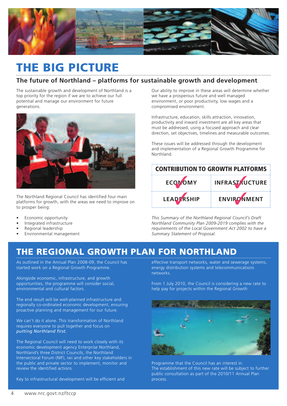

# **THE BIG PICTURE**

### **The future of Northland – platforms for sustainable growth and development**

The sustainable growth and development of Northland is a top priority for the region if we are to achieve our full potential and manage our environment for future generations.



The Northland Regional Council has identified four main platforms for growth, with the areas we need to improve on to prosper being:

- Economic opportunity
- Integrated infrastructure
- Regional leadership
- Environmental management

Our ability to improve in these areas will determine whether we have a prosperous future and well managed environment, or poor productivity, low wages and a compromised environment.

Infrastructure, education, skills attraction, innovation, productivity and inward investment are all key areas that must be addressed, using a focused approach and clear direction, set objectives, timelines and measurable outcomes.

These issues will be addressed through the development and implementation of a Regional Growth Programme for Northland.

| <b>CONTRIBUTION TO GROWTH PLATFORMS</b> |                       |  |  |  |  |
|-----------------------------------------|-----------------------|--|--|--|--|
| ECOMOMY                                 | <b>INFRASTRUCTURE</b> |  |  |  |  |
| <b>LEADERSHIP</b>                       | ENVIRONMENT           |  |  |  |  |

*This Summary of the Northland Regional Council's Draft Northland Community Plan 2009-2019 complies with the requirements of the Local Government Act 2002 to have a Summary Statement of Proposal.*

### **THE REGIONAL GROWTH PLAN FOR NORTHLAND**

As outlined in the Annual Plan 2008-09, the Council has started work on a Regional Growth Programme.

Alongside economic, infrastructure, and growth opportunities, the programme will consider social, environmental and cultural factors.

The end result will be well-planned infrastructure and regionally co-ordinated economic development, ensuring proactive planning and management for our future.

We can't do it alone. This transformation of Northland requires everyone to pull together and focus on *putting Northland first.*

The Regional Council will need to work closely with its economic development agency Enterprise Northland, Northland's three District Councils, the Northland Intersectoral Forum (NIF), iwi and other key stakeholders in the public and private sector to implement, monitor and review the identified actions.

Key to infrastructural development will be efficient and

effective transport networks, water and sewerage systems, energy distribution systems and telecommunications networks.

From 1 July 2010, the Council is considering a new rate to help pay for projects within the Regional Growth



Programme that the Council has an interest in. The establishment of this new rate will be subject to further public consultation as part of the 2010/11 Annual Plan process.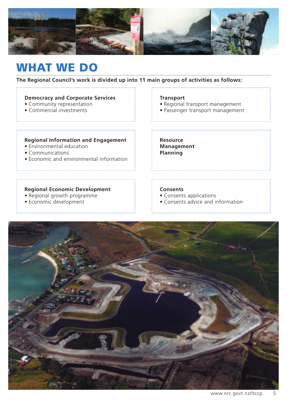

## **WHAT WE DO**

### **The Regional Council's work is divided up into 11 main groups of activities as follows:**

### **Democracy and Corporate Services**

- Community representation
- Commercial investments

### **Transport**

**Resource Management Planning**

• Regional transport management

• Passenger transport management

### **Regional Information and Engagement**

- Environmental education
- Communications
- Economic and environmental information

### **Regional Economic Development**

- Regional growth programme
- Economic development

### **Consents**

- Consents applications
- Consents advice and information

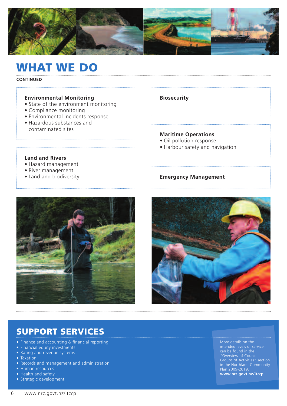

## **WHAT WE DO**

**CONTINUED**

### **Environmental Monitoring**

- State of the environment monitoring
- Compliance monitoring

**Land and Rivers** • Hazard management • River management • Land and biodiversity

- Environmental incidents response
- Hazardous substances and contaminated sites

### **Biosecurity**

### **Maritime Operations**

- Oil pollution response
- Harbour safety and navigation

### **Emergency Management**





### **SUPPORT SERVICES**

- Finance and accounting & financial reporting
- Financial equity investments
- Rating and revenue systems
- Taxation
- Records and management and administration
- Human resources
- Health and safety
- Strategic development

More details on the intended levels of service can be found in the "Overview of Council Groups of Activities" section in the Northland Community Plan 2009-2019. **www.nrc.govt.nz/ltccp**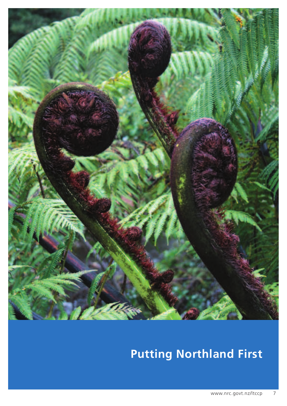

# **Putting Northland First**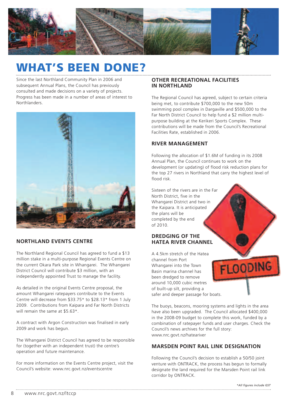

# **WHAT'S BEEN DONE?**

Since the last Northland Community Plan in 2006 and subsequent Annual Plans, the Council has previously consulted and made decisions on a variety of projects. Progress has been made in a number of areas of interest to Northlanders.



### **NORTHLAND EVENTS CENTRE**

The Northland Regional Council has agreed to fund a \$13 million stake in a multi-purpose Regional Events Centre on the current Okara Park site in Whangarei. The Whangarei District Council will contribute \$3 million, with an independently appointed Trust to manage the facility.

As detailed in the original Events Centre proposal, the amount Whangarei ratepayers contribute to the Events Centre will decrease from \$33.75\* to \$28.13\* from 1 July 2009. Contributions from Kaipara and Far North Districts will remain the same at \$5.63\*.

A contract with Argon Construction was finalised in early 2009 and work has begun.

The Whangarei District Council has agreed to be responsible for (together with an independent trust) the centre's operation and future maintenance.

For more information on the Events Centre project, visit the Council's website: www.nrc.govt.nz/eventscentre

### **OTHER RECREATIONAL FACILITIES IN NORTHLAND**

The Regional Council has agreed, subject to certain criteria being met, to contribute \$700,000 to the new 50m swimming pool complex in Dargaville and \$500,000 to the Far North District Council to help fund a \$2 million multipurpose building at the Kerikeri Sports Complex. These contributions will be made from the Council's Recreational Facilities Rate, established in 2006.

### **RIVER MANAGEMENT**

Following the allocation of \$1.6M of funding in its 2008 Annual Plan, the Council continues to work on the development (or updating) of flood risk reduction plans for the top 27 rivers in Northland that carry the highest level of flood risk.

Sixteen of the rivers are in the Far North District, five in the Whangarei District and two in the Kaipara. It is anticipated the plans will be completed by the end of 2010.

### **DREDGING OF THE HATEA RIVER CHANNEL**

A 4.5km stretch of the Hatea channel from Port Whangarei into the Town Basin marina channel has been dredged to remove around 10,000 cubic metres of built-up silt, providing a safer and deeper passage for boats.

The buoys, beacons, mooring systems and lights in the area have also been upgraded. The Council allocated \$400,000 in the 2008-09 budget to complete this work, funded by a combination of ratepayer funds and user charges. Check the Council's news archives for the full story: www.nrc.govt.nz/hateariver

### **MARSDEN POINT RAIL LINK DESIGNATION**

Following the Council's decision to establish a 50/50 joint venture with ONTRACK, the process has begun to formally designate the land required for the Marsden Point rail link corridor by ONTRACK.

**FLOODING** 

8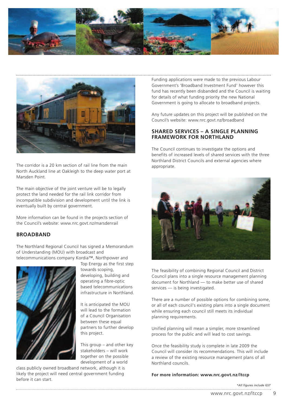



The corridor is a 20 km section of rail line from the main North Auckland line at Oakleigh to the deep water port at Marsden Point.

The main objective of the joint venture will be to legally protect the land needed for the rail link corridor from incompatible subdivision and development until the link is eventually built by central government.

More information can be found in the projects section of the Council's website: www.nrc.govt.nz/marsdenrail

### **BROADBAND**

The Northland Regional Council has signed a Memorandum of Understanding (MOU) with broadcast and

telecommunications company Kordia™, Northpower and



Top Energy as the first step towards scoping, developing, building and operating a fibre-optic based telecommunications infrastructure in Northland.

It is anticipated the MOU will lead to the formation of a Council Organisation between these equal partners to further develop this project.

This group – and other key stakeholders – will work together on the possible development of a world

class publicly owned broadband network, although it is likely the project will need central government funding before it can start.

Funding applications were made to the previous Labour Government's 'Broadband Investment Fund' however this fund has recently been disbanded and the Council is waiting for details of what funding priority the new National Government is going to allocate to broadband projects.

Any future updates on this project will be published on the Council's website: www.nrc.govt.nz/broadband

### **SHARED SERVICES – A SINGLE PLANNING FRAMEWORK FOR NORTHLAND**

The Council continues to investigate the options and benefits of increased levels of shared services with the three Northland District Councils and external agencies where appropriate.



The feasibility of combining Regional Council and District Council plans into a single resource management planning document for Northland — to make better use of shared services — is being investigated.

There are a number of possible options for combining some, or all of each council's existing plans into a single document while ensuring each council still meets its individual planning requirements.

Unified planning will mean a simpler, more streamlined process for the public and will lead to cost savings.

Once the feasibility study is complete in late 2009 the Council will consider its recommendations. This will include a review of the existing resource management plans of all Northland councils.

#### **For more information: www.nrc.govt.nz/ltccp**

*\*All figures include GST*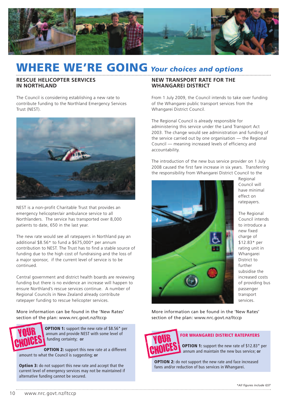

# **WHERE WE'RE GOING** *Your choices and options*

### **RESCUE HELICOPTER SERVICES IN NORTHLAND**

The Council is considering establishing a new rate to contribute funding to the Northland Emergency Services Trust (NEST).



NEST is a non-profit Charitable Trust that provides an emergency helicopter/air ambulance service to all Northlanders. The service has transported over 8,000 patients to date, 650 in the last year.

The new rate would see all ratepayers in Northland pay an additional \$8.56\* to fund a \$675,000\* per annum contribution to NEST. The Trust has to find a stable source of funding due to the high cost of fundraising and the loss of a major sponsor, if the current level of service is to be continued.

Central government and district health boards are reviewing funding but there is no evidence an increase will happen to ensure Northland's rescue services continue. A number of Regional Councils in New Zealand already contribute ratepayer funding to rescue helicopter services.

More information can be found in the 'New Rates' section of the plan: www.nrc.govt.nz/ltccp



**OPTION 1:** support the new rate of \$8.56\* per annum and provide NEST with some level of funding certainty; **or**

**OPTION 2:** support this new rate at a different amount to what the Council is suggesting; **or**

**Option 3:** do not support this new rate and accept that the current level of emergency services may not be maintained if alternative funding cannot be secured.

### **NEW TRANSPORT RATE FOR THE WHANGAREI DISTRICT**

From 1 July 2009, the Council intends to take over funding of the Whangarei public transport services from the Whangarei District Council.

The Regional Council is already responsible for administering this service under the Land Transport Act 2003. The change would see administration and funding of the service carried out by one organisation — the Regional Council — meaning increased levels of efficiency and accountability.

The introduction of the new bus service provider on 1 July 2008 caused the first fare increase in six years. Transferring the responsibility from Whangarei District Council to the



Regional Council will have minimal effect on ratepayers.

The Regional Council intends to introduce a new fixed charge of \$12.83\* per rating unit in Whangarei District to further subsidise the increased costs of providing bus passenger transport services.

More information can be found in the 'New Rates' section of the plan: www.nrc.govt.nz/ltccp



### **FOR WHANGAREI DISTRICT RATEPAYERS**

**OPTION 1:** support the new rate of \$12.83\* per annum and maintain the new bus service; **or**

**OPTION 2:** do not support the new rate and face increased fares and/or reduction of bus services in Whangarei.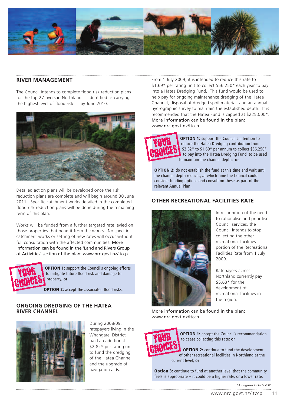

### **RIVER MANAGEMENT**

The Council intends to complete flood risk reduction plans for the top 27 rivers in Northland — identified as carrying the highest level of flood risk — by June 2010.



Detailed action plans will be developed once the risk reduction plans are complete and will begin around 30 June 2011. Specific catchment works detailed in the completed flood risk reduction plans will be done during the remaining term of this plan.

Works will be funded from a further targeted rate levied on those properties that benefit from the works. No specific catchment works or setting of new rates will occur without full consultation with the affected communities. More information can be found in the 'Land and Rivers Group of Activities' section of the plan: www.nrc.govt.nz/ltccp



**OPTION 1:** support the Council's ongoing efforts to mitigate future flood risk and damage to property; **or**

**OPTION 2:** accept the associated flood risks.

### **ONGOING DREDGING OF THE HATEA RIVER CHANNEL**



During 2008/09, ratepayers living in the Whangarei District paid an additional \$2.82\* per rating unit to fund the dredging of the Hatea Channel and the upgrade of navigation aids.

From 1 July 2009, it is intended to reduce this rate to \$1.69\* per rating unit to collect \$56,250\* each year to pay into a Hatea Dredging Fund. This fund would be used to help pay for ongoing maintenance dredging of the Hatea Channel, disposal of dredged spoil material, and an annual hydrographic survey to maintain the established depth. It is recommended that the Hatea Fund is capped at \$225,000\*. More information can be found in the plan: www.nrc.govt.nz/ltccp



**OPTION 1:** support the Council's intention to reduce the Hatea Dredging contribution from \$2.82\* to \$1.69\* per annum to collect \$56,250\* to pay into the Hatea Dredging Fund, to be used to maintain the channel depth; **or**

**OPTION 2:** do not establish the fund at this time and wait until the channel depth reduces, at which time the Council could consider funding options and consult on these as part of the relevant Annual Plan.

### **OTHER RECREATIONAL FACILITIES RATE**



In recognition of the need to rationalise and prioritise Council services, the Council intends to stop collecting the other recreational facilities portion of the Recreational Facilities Rate from 1 July 2009.

Ratepayers across Northland currently pay \$5.63\* for the development of recreational facilities in the region.

More information can be found in the plan: www.nrc.govt.nz/ltccp



**OPTION 1:** accept the Council's recommendation to cease collecting this rate; **or**

**OPTION 2:** continue to fund the development of other recreational facilities in Northland at the current level; **or**

**Option 3:** continue to fund at another level that the community feels is appropriate – it could be a higher rate, or a lower rate.

*\*All figures include GST*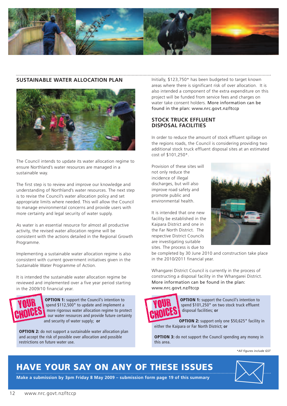

#### **SUSTAINABLE WATER ALLOCATION PLAN**



The Council intends to update its water allocation regime to ensure Northland's water resources are managed in a sustainable way.

The first step is to review and improve our knowledge and understanding of Northland's water resources. The next step is to revise the Council's water allocation policy and set appropriate limits where needed. This will allow the Council to manage environmental concerns and provide users with more certainty and legal security of water supply.

As water is an essential resource for almost all productive activity, the revised water allocation regime will be consistent with the actions detailed in the Regional Growth Programme.

Implementing a sustainable water allocation regime is also consistent with current government initiatives given in the Sustainable Water Programme of Action.

It is intended the sustainable water allocation regime be reviewed and implemented over a five year period starting in the 2009/10 financial year.



**OPTION 1:** support the Council's intention to spend \$112,500\* to update and implement a more rigorous water allocation regime to protect our water resources and provide future certainty and security of water supply; **or**

**OPTION 2:** do not support a sustainable water allocation plan and accept the risk of possible over allocation and possible restrictions on future water use.

Initially, \$123,750\* has been budgeted to target known areas where there is significant risk of over allocation. It is also intended a component of the extra expenditure on this project will be funded from service fees and charges on water take consent holders. More information can be found in the plan: www.nrc.govt.nz/ltccp

### **STOCK TRUCK EFFLUENT DISPOSAL FACILITIES**

In order to reduce the amount of stock effluent spillage on the regions roads, the Council is considering providing two additional stock truck effluent disposal sites at an estimated cost of \$101,250\*.

Provision of these sites will not only reduce the incidence of illegal discharges, but will also improve road safety and promote public and environmental health.

It is intended that one new facility be established in the Kaipara District and one in the Far North District. The respective District Councils are investigating suitable sites. The process is due to



be completed by 30 June 2010 and construction take place in the 2010/2011 financial year.

Whangarei District Council is currently in the process of constructing a disposal facility in the Whangarei District. More information can be found in the plan: www.nrc.govt.nz/ltccp



**OPTION 1:** support the Council's intention to spend \$101,250\* on two stock truck effluent disposal facilities; **or**

**OPTION 2:** support only one \$50,625\* facility in either the Kaipara or Far North District; **or**

**OPTION 3:** do not support the Council spending any money in this area.

*\*All figures include GST*

 $\boxtimes$ 

### **HAVE YOUR SAY ON ANY OF THESE ISSUES**

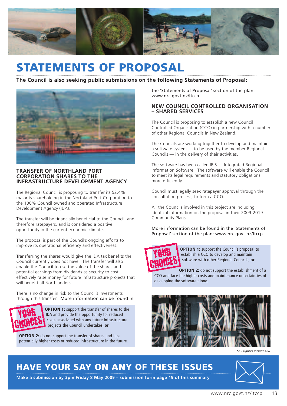

# **STATEMENTS OF PROPOSAL**

### **The Council is also seeking public submissions on the following Statements of Proposal:**



### **TRANSFER OF NORTHLAND PORT CORPORATION SHARES TO THE INFRASTRUCTURE DEVELOPMENT AGENCY**

The Regional Council is proposing to transfer its 52.4% majority shareholding in the Northland Port Corporation to the 100% Council owned and operated Infrastructure Development Agency (IDA).

The transfer will be financially beneficial to the Council, and therefore ratepayers, and is considered a positive opportunity in the current economic climate.

The proposal is part of the Council's ongoing efforts to improve its operational efficiency and effectiveness.

Transferring the shares would give the IDA tax benefits the Council currently does not have. The transfer will also enable the Council to use the value of the shares and potential earnings from dividends as security to cost effectively raise money for future infrastructure projects that will benefit all Northlanders.

There is no change in risk to the Council's investments through this transfer. More information can be found in



**OPTION 1:** support the transfer of shares to the IDA and provide the opportunity for reduced costs associated with any future infrastructure projects the Council undertakes; **or**

**OPTION 2:** do not support the transfer of shares and face potentially higher costs or reduced infrastructure in the future. the 'Statements of Proposal' section of the plan: www.nrc.govt.nz/ltccp

### **NEW COUNCIL CONTROLLED ORGANISATION – SHARED SERVICES**

The Council is proposing to establish a new Council Controlled Organisation (CCO) in partnership with a number of other Regional Councils in New Zealand.

The Councils are working together to develop and maintain a software system — to be used by the member Regional Councils — in the delivery of their activities.

The software has been called IRIS — Integrated Regional Information Software. The software will enable the Council to meet its legal requirements and statutory obligations more efficiently.

Council must legally seek ratepayer approval through the consultation process, to form a CCO.

All the Councils involved in this project are including identical information on the proposal in their 2009-2019 Community Plans.

More information can be found in the 'Statements of Proposal' section of the plan: www.nrc.govt.nz/ltccp



**OPTION 1:** support the Council's proposal to establish a CCO to develop and maintain software with other Regional Councils; **or**

**OPTION 2:** do not support the establishment of a CCO and face the higher costs and maintenance uncertainties of developing the software alone.



*\*All figures include GST*

### **HAVE YOUR SAY ON ANY OF THESE ISSUES**

**Make a submission by 3pm Friday 8 May 2009 – submission form page 19 of this summary**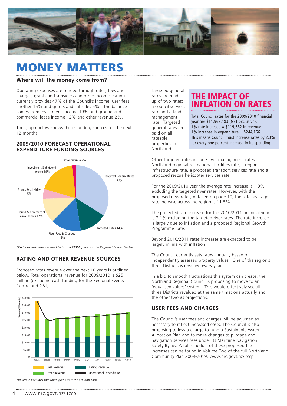

## **MONEY MATTERS**

#### **Where will the money come from?**

Operating expenses are funded through rates, fees and charges, grants and subsidies and other income. Rating currently provides 47% of the Council's income, user fees another 15% and grants and subsides 5%. The balance comes from investment income 19% and ground and commercial lease income 12% and other revenue 2%.

The graph below shows these funding sources for the next 12 months.

### **2009/2010 FORECAST OPERATIONAL EXPENDITURE FUNDING SOURCES**



*\*Excludes cash reserves used to fund a \$13M grant for the Regional Events Centre*

### **RATING AND OTHER REVENUE SOURCES**

Proposed rates revenue over the next 10 years is outlined below. Total operational revenue for 2009/2010 is \$25.1 million (excluding cash funding for the Regional Events Centre and GST).



*\*Revenue excludes fair value gains as these are non-cash*

Targeted general rates are made up of two rates; a council services rate and a land management rate. Targeted general rates are paid on all rateable properties in Northland.

### **THE IMPACT OF INFLATION ON RATES**

Total Council rates for the 2009/2010 financial year are \$11,968,183 (GST exclusive).  $1\%$  rate increase = \$119,682 in revenue. 1% increase in expenditure =  $$244,166$ . This means Council must increase rates by 2.3% for every one percent increase in its spending.

Other targeted rates include river management rates, a Northland regional recreational facilities rate, a regional infrastructure rate, a proposed transport services rate and a proposed rescue helicopter services rate.

For the 2009/2010 year the average rate increase is 1.3% excluding the targeted river rates. However, with the proposed new rates, detailed on page 10, the total average rate increase across the region is 11.5%.

The projected rate increase for the 2010/2011 financial year is 7.1% excluding the targeted river rates. The rate increase is largely due to inflation and a proposed Regional Growth Programme Rate.

Beyond 2010/2011 rates increases are expected to be largely in line with inflation.

The Council currently sets rates annually based on independently assessed property values. One of the region's three Districts is revalued every year.

In a bid to smooth fluctuations this system can create, the Northland Regional Council is proposing to move to an 'equalised values' system. This would effectively see all three Districts revalued at the same time; one actually and the other two as projections.

### **USER FEES AND CHARGES**

The Council's user fees and charges will be adjusted as necessary to reflect increased costs. The Council is also proposing to levy a charge to fund a Sustainable Water Allocation Plan and to make changes to pilotage and navigation services fees under its Maritime Navigation Safety Bylaw. A full schedule of these proposed fee increases can be found in Volume Two of the full Northland Community Plan 2009-2019. www.nrc.govt.nz/ltccp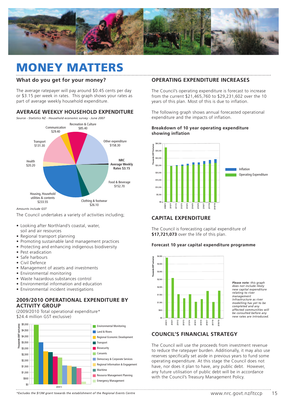

## **MONEY MATTERS**

### **What do you get for your money?**

The average ratepayer will pay around \$0.45 cents per day or \$3.15 per week in rates. This graph shows your rates as part of average weekly household expenditure.

### **AVERAGE WEEKLY HOUSEHOLD EXPENDITURE**

*Source - Statistics NZ - Household economic survey - June 2007*



*Amounts include GST*

The Council undertakes a variety of activities including;

- Looking after Northland's coastal, water, soil and air resources
- Regional transport planning
- Promoting sustainable land management practices
- Protecting and enhancing indigenous biodiversity
- Pest eradication
- Safe harbours
- Civil Defence
- Management of assets and investments
- Environmental monitoring
- Waste hazardous substances control
- Environmental information and education
- Environmental incident investigations

### **2009/2010 OPERATIONAL EXPENDITURE BY ACTIVITY GROUP**

(2009/2010 Total operational expenditure\* \$24.4 million GST exclusive)



### **OPERATING EXPENDITURE INCREASES**

The Council's operating expenditure is forecast to increase from the current \$21,465,760 to \$29,231,602 over the 10 years of this plan. Most of this is due to inflation.

The following graph shows annual forecasted operational expenditure and the impacts of inflation.

#### **Breakdown of 10 year operating expenditure showing inflation**



### **CAPITAL EXPENDITURE**

The Council is forecasting capital expenditure of **\$17,721,073** over the life of this plan.

#### **Forecast 10 year capital expenditure programme**



*Please note: this graph does not include likely new capital expenditure relating to river management infrastructure as river modelling has yet to be completed and any affected communities will be consulted before any new rates are introduced.*

### **COUNCIL'S FINANCIAL STRATEGY**

The Council will use the proceeds from investment revenue to reduce the ratepayer burden. Additionally, it may also use reserves specifically set aside in previous years to fund some operating expenditure. At this stage the Council does not have, nor does it plan to have, any public debt. However, any future utilisation of public debt will be in accordance with the Council's Treasury Management Policy.

*\*Excludes the \$13M grant towards the establishment of the Regional Events Centre*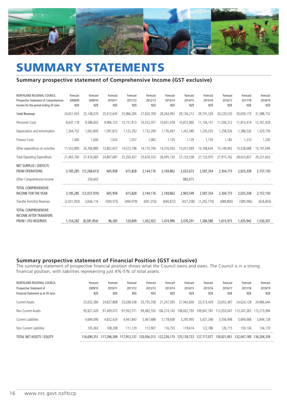

# **SUMMARY STATEMENTS**

### **Summary prospective statement of Comprehensive Income (GST exclusive)**

| NORTHLAND REGIONAL COUNCIL<br>Prospective Statement of Comprehensive<br>Income for the period ending 30 June: | Forecast<br>2008/09<br>NZ\$ | Forecast<br>2009/10<br>NZ\$ | Forecast<br>2010/11<br>NZ\$ | Forecast<br>2011/12<br>NZ\$ | Forecast<br>2012/13<br>NZ\$ | Forecast<br>2013/14<br>NZ\$ | Forecast<br>2014/15<br>NZ\$ | Forecast<br>2015/16<br>NZ\$ | Forecast<br>2016/17<br>NZ\$ | Forecast<br>2017/18<br>NZ\$ | Forecast<br>2018/19<br>NZ\$ |
|---------------------------------------------------------------------------------------------------------------|-----------------------------|-----------------------------|-----------------------------|-----------------------------|-----------------------------|-----------------------------|-----------------------------|-----------------------------|-----------------------------|-----------------------------|-----------------------------|
| <b>Total Revenue</b>                                                                                          | 24,651,045                  | 25.148.070                  | 25,413,645                  | 25,966,285                  | 27,820,709                  | 28.264.992                  | 29.156.212                  | 29,741,329                  | 30,220,535                  | 30.659.175                  | 31,388,752                  |
| Personnel Costs                                                                                               | 8,647,118                   | 9,586,003                   | 9,906,125                   | 10,151,913                  | 10,352,357                  | 10,601,478                  | 10,872,960                  | 11,154,151                  | 11,506,312                  | 11,815,414                  | 12,161,929                  |
| Depreciation and Amortisation                                                                                 | 1,264,752                   | 1,062,800                   | 1,097,872                   | 1,125,292                   | 1,152,299                   | 1,176,497                   | 1,202,380                   | 1,230,035                   | 1,258,326                   | 1,288,526                   | 1,320,739                   |
| Finance Costs                                                                                                 | 1,000                       | 1,000                       | 1,033                       | 1,057                       | 1,082                       | 1,105                       | 1,129                       | 1,155                       | 1,182                       | 1,210                       | 1,240                       |
| Other expenditure on activities                                                                               | 11,552,890                  | 26,766,880                  | 13,802,657                  | 14,072,196                  | 14,170,794                  | 14,316,050                  | 15,057,069                  | 14,768,634                  | 15,149,942                  | 15,528,688                  | 15,747,694                  |
| Total Operating Expenditure                                                                                   | 21,465,760                  | 37,416,683                  | 24,807,687                  | 25,350,457                  | 25,676,533                  | 26,095,130                  | 27,133,538                  | 27,153,975                  | 27,915,762                  | 28,633,837                  | 29,231,602                  |
| NET SURPLUS / (DEFICIT)<br><b>FROM OPERATIONS</b>                                                             | 3,185,285                   | (12.268.613)                | 605,958                     | 615,828                     | 2,144,176                   | 2,169,862                   | 2.022.673                   | 2,587,354                   | 2,304,773                   | 2,025,338                   | 2,157,150                   |
| Other Comprehensive Income                                                                                    | $\sim$                      | 230,643                     |                             |                             |                             |                             | 880,875                     |                             |                             |                             |                             |
| <b>TOTAL COMPREHENSIVE</b><br><b>INCOME FOR THE YEAR</b>                                                      | 3,185,285                   | (12.037.970)                | 605,958                     | 615,828                     | 2,144,176                   | 2,169,862                   | 2,903,549                   | 2,587,354                   | 2,304,773                   | 2,025,338                   | 2,157,150                   |
| Transfer from/(to) Reserves                                                                                   | (2,031,003)                 | 3,656,116                   | (509, 575)                  | (494, 979)                  | (691, 253)                  | (694, 872)                  | (427, 258)                  | (1, 202, 774)               | (688, 800)                  | (589, 396)                  | (626, 843)                  |
| <b>TOTAL COMPREHENSIVE</b><br><b>INCOME AFTER TRANSFERS</b><br>FROM / (TO) RESERVES                           | 1.154.282                   | (8.381.854)                 | 96,383                      | 120.849                     | 1.452.923                   | 1,474,990                   | 2,476,291                   | 1,384,580                   | 1,615,973                   | 1.435.942                   | 1,530,307                   |

### **Summary prospective statement of Financial Position (GST exclusive)**

The summary statement of prospective financial position shows what the Council owns and owes. The Council is in a strong financial position, with liabilities representing just 4%-5% of total assets.

| NORTHLAND REGIONAL COUNCIL<br>Prospective Statement of<br>Financial Statement as at 30 June: | Forecast<br>2009/10<br>NZ\$ | Forecast<br>2010/11<br>NZ\$ | Forecast<br>2011/12<br>NZ\$ | Forecast<br>2012/13<br>NZ\$ | Forecast<br>2013/14<br>NZ\$ | Forecast<br>2014/15<br>NZ\$           | Forecast<br>2015/16<br>NZ\$ | Forecast<br>2016/17<br>NZ\$ | Forecast<br>2017/18<br>NZ\$ | Forecast<br>2018/19<br>NZ\$ |
|----------------------------------------------------------------------------------------------|-----------------------------|-----------------------------|-----------------------------|-----------------------------|-----------------------------|---------------------------------------|-----------------------------|-----------------------------|-----------------------------|-----------------------------|
| Current Assets                                                                               | 25.652.384                  | 24.827.868                  | 25.038.538                  | 25.755.358                  | 21,247,395                  | 21,942,600                            | 23.313.429                  | 23.652.467                  | 24.624.128                  | 24.966.644                  |
| Non Current Assets                                                                           | 95.827.420                  | 97.409.072                  | 97.932.571                  | 99.482.550                  | 106,274,143                 | 108,602,793                           | 109,947,781                 | 12.053.047                  | 113.247.265 115.215.994     |                             |
| Current Liabilities                                                                          | 4.684.090                   | 4.832.424                   | 4,947,843                   | 5,067,688                   | 5.178.608                   | 5.295.995                             | 5,421,348                   | 5,556,948                   | 5.694.068                   | 5,844,128                   |
| Non Current Liabilities                                                                      | 105.363                     | 108,208                     | 111.129                     | 113.907                     | 116.755                     | 119.674                               | 122.786                     | 126.715                     | 130.136                     | 134.170                     |
| TOTAL NET ASSETS / EOUITY                                                                    | 116.690.351                 |                             | 117,296,309 117,912,137     |                             |                             | 120.056.313  122.226.175  125.129.723 | 127,717,077                 | 130.021.851                 | 132.047.189 134.204.339     |                             |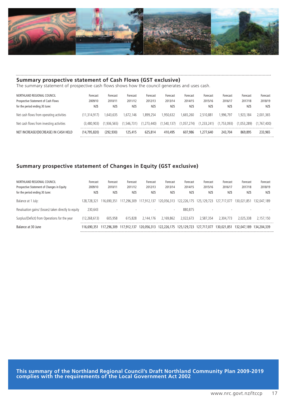

### **Summary prospective statement of Cash Flows (GST exclusive)**

The summary statement of prospective cash flows shows how the council generates and uses cash.

| NORTHLAND REGIONAL COUNCIL<br>Prospective Statement of Cash Flows<br>for the period ending 30 June: | Forecast<br>2009/10<br>NZ\$ | Forecast<br>2010/11<br>NZ\$ | Forecast<br>2011/12<br>NZ\$ | Forecast<br>2012/13<br>NZ\$ | Forecast<br>2013/14<br>NZ\$ | Forecast<br>2014/15<br>NZ\$ | Forecast<br>2015/16<br>NZ\$ | Forecast<br>2016/17<br>NZ\$ | Forecast<br>2017/18<br>NZ\$ | Forecast<br>2018/19<br>NZ\$ |
|-----------------------------------------------------------------------------------------------------|-----------------------------|-----------------------------|-----------------------------|-----------------------------|-----------------------------|-----------------------------|-----------------------------|-----------------------------|-----------------------------|-----------------------------|
| Net cash flows from operating activities                                                            | (11.314.917)                | 1.643.635                   | 1.672.146                   | 1.899.254                   | 1.950.632                   | 1.665.260                   | 2,510,881                   | .996.797                    | 1.923.184                   | 2.001.365                   |
| Net cash flows from investing activities                                                            | (3.480.903)                 | (1.936.565)                 | (1.546.731)                 | (1, 273, 440)               | (1, 540, 137)               | (1,057,274)                 | (1.233.241)                 | (1.753.093)                 | (1.053.289)                 | (1.767.400)                 |
| NET INCREASE/(DECREASE) IN CASH HELD                                                                | (14.795.820)                | (292.930)                   | 125.415                     | 625,814                     | 410,495                     | 607.986                     | 1.277.640                   | 243,704                     | 869,895                     | 233,965                     |

### **Summary prospective statement of Changes in Equity (GST exclusive)**

| NORTHLAND REGIONAL COUNCIL<br>Prospective Statement of Changes in Equity<br>for the period ending 30 June: | Forecast<br>2009/10<br>NZ\$ | Forecast<br>2010/11<br>NZ\$ | Forecast<br>2011/12<br>NZ\$ | Forecast<br>2012/13<br>NZ\$ | Forecast<br>2013/14<br>NZ\$ | Forecast<br>2014/15<br>NZ\$         | Forecast<br>2015/16<br>NZ\$ | Forecast<br>2016/17<br>NZ\$ | Forecast<br>2017/18<br>NZ\$ | Forecast<br>2018/19<br>NZ\$ |
|------------------------------------------------------------------------------------------------------------|-----------------------------|-----------------------------|-----------------------------|-----------------------------|-----------------------------|-------------------------------------|-----------------------------|-----------------------------|-----------------------------|-----------------------------|
| Balance at 1 July:                                                                                         | 128.728.321                 | 16.690.351                  | 117,296,309 117,912,137     |                             | 120,056,313                 | 122,226,175                         | 125,129,723                 | 127.717.077                 | 130.021.851                 | 132.047.189                 |
| Revaluation gains/ (losses) taken directly to equity                                                       | 230.643                     |                             |                             |                             |                             | 880.875                             |                             |                             |                             |                             |
| Surplus/(Deficit) from Operations for the year                                                             | (12,268,613)                | 605.958                     | 615.828                     | 2.144.176                   | 2.169.862                   | 2.022.673                           | 2.587.354                   | 2.304.773                   | 2.025.338                   | 2.157.150                   |
| Balance at 30 June                                                                                         | 116,690,351                 |                             | 117,296,309 117,912,137     |                             |                             | 120.056.313 122.226.175 125.129.723 | 127.717.077                 | 130,021,851                 | 132,047,189 134,204,339     |                             |

**This summary of the Northland Regional Council's Draft Northland Community Plan 2009-2019 complies with the requirements of the Local Government Act 2002**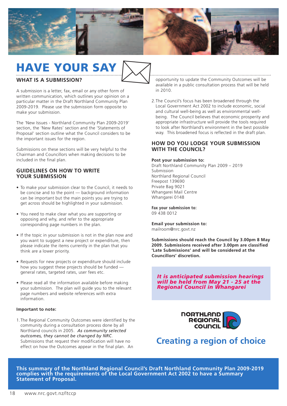

## **HAVE YOUR SAY**  $\boxtimes$

### **WHAT IS A SUBMISSION?**

A submission is a letter, fax, email or any other form of written communication, which outlines your opinion on a particular matter in the Draft Northland Community Plan 2009-2019. Please use the submission form opposite to make your submission.

The 'New Issues - Northland Community Plan 2009-2019' section, the 'New Rates' section and the 'Statements of Proposal' section outline what the Council considers to be the important issues for the region.

Submissions on these sections will be very helpful to the Chairman and Councillors when making decisions to be included in the final plan.

### **GUIDELINES ON HOW TO WRITE YOUR SUBMISSION**

- To make your submission clear to the Council, it needs to be concise and to the point — background information can be important but the main points you are trying to get across should be highlighted in your submission.
- You need to make clear what you are supporting or opposing and why, and refer to the appropriate corresponding page numbers in the plan.
- If the topic in your submission is not in the plan now and you want to suggest a new project or expenditure, then please indicate the items currently in the plan that you think are a lower priority.
- Requests for new projects or expenditure should include how you suggest these projects should be funded general rates, targeted rates, user fees etc.
- Please read all the information available before making your submission. The plan will guide you to the relevant page numbers and website references with extra information.

#### **Important to note:**

1.The Regional Community Outcomes were identified by the community during a consultation process done by all Northland councils in 2005. *As community selected outcomes, they cannot be changed by NRC*. Submissions that request their modification will have no effect on how the Outcomes appear in the final plan. An

opportunity to update the Community Outcomes will be available in a public consultation process that will be held in 2010.

2.The Council's focus has been broadened through the Local Government Act 2002 to include economic, social and cultural well-being as well as environmental wellbeing. The Council believes that economic prosperity and appropriate infrastructure will provide the tools required to look after Northland's environment in the best possible way. This broadened focus is reflected in the draft plan.

### **HOW DO YOU LODGE YOUR SUBMISSION WITH THE COUNCIL?**

#### **Post your submission to:**

Draft Northland Community Plan 2009 – 2019 Submission Northland Regional Council Freepost 139690 Private Bag 9021 Whangarei Mail Centre Whangarei 0148

**Fax your submission to:** 09 438 0012

**Email your submission to:** mailroom@nrc.govt.nz

**Submissions should reach the Council by 3.00pm 8 May 2009. Submissions received after 3.00pm are classified 'Late Submissions' and will be considered at the Councillors' discretion.**

*It is anticipated submission hearings will be held from May 21 - 25 at the Regional Council in Whangarei*



### **Creating a region of choice**

**This summary of the Northland Regional Council's Draft Northland Community Plan 2009-2019 complies with the requirements of the Local Government Act 2002 to have a Summary Statement of Proposal.**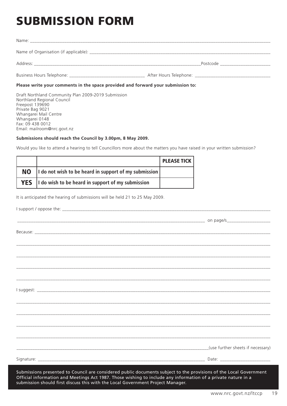# **SUBMISSION FORM**

|                                                                                  | Postcode _____________________ |  |  |  |  |  |
|----------------------------------------------------------------------------------|--------------------------------|--|--|--|--|--|
|                                                                                  |                                |  |  |  |  |  |
| Please write your comments in the space provided and forward your submission to: |                                |  |  |  |  |  |

Draft Northland Community Plan 2009-2019 Submission Northland Regional Council Freepost 139690 Private Bag 9021 Whangarei Mail Centre Whangarei 0148 Fax: 09 438 0012 Email: mailroom@nrc.govt.nz

#### **Submissions should reach the Council by 3.00pm, 8 May 2009.**

Would you like to attend a hearing to tell Councillors more about the matters you have raised in your written submission?

|           |                                                              | <b>PLEASE TICK</b> |
|-----------|--------------------------------------------------------------|--------------------|
| <b>NO</b> | I do not wish to be heard in support of my submission        |                    |
|           | <b>YES</b> I do wish to be heard in support of my submission |                    |

It is anticipated the hearing of submissions will be held 21 to 25 May 2009.

| ,我们也不能在这里的,我们也不能在这里的,我们也不能在这里的,我们也不能不能不能不能不能不能不能不能不能不能不能。""我们,我们也不能不能不能不能不能不能不能不能 |  |                                   |
|-----------------------------------------------------------------------------------|--|-----------------------------------|
|                                                                                   |  |                                   |
|                                                                                   |  |                                   |
|                                                                                   |  |                                   |
|                                                                                   |  |                                   |
|                                                                                   |  |                                   |
|                                                                                   |  |                                   |
|                                                                                   |  |                                   |
|                                                                                   |  |                                   |
|                                                                                   |  | (use further sheets if necessary) |
|                                                                                   |  |                                   |
|                                                                                   |  |                                   |

Submissions presented to Council are considered public documents subject to the provisions of the Local Government Official information and Meetings Act 1987. Those wishing to include any information of a private nature in a submission should first discuss this with the Local Government Project Manager.